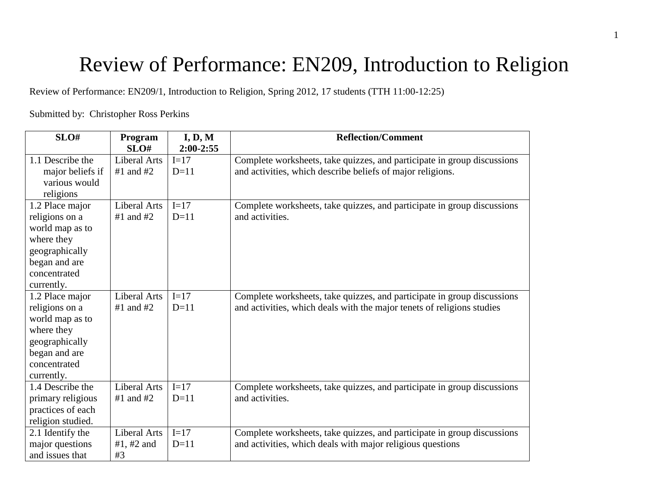# Review of Performance: EN209, Introduction to Religion

Review of Performance: EN209/1, Introduction to Religion, Spring 2012, 17 students (TTH 11:00-12:25)

## Submitted by: Christopher Ross Perkins

| SLO#              | Program<br>SLO# | I, D, M<br>$2:00-2:55$ | <b>Reflection/Comment</b>                                               |
|-------------------|-----------------|------------------------|-------------------------------------------------------------------------|
| 1.1 Describe the  | Liberal Arts    | $I=17$                 | Complete worksheets, take quizzes, and participate in group discussions |
| major beliefs if  | $#1$ and $#2$   | $D=11$                 | and activities, which describe beliefs of major religions.              |
| various would     |                 |                        |                                                                         |
| religions         |                 |                        |                                                                         |
| 1.2 Place major   | Liberal Arts    | $I=17$                 | Complete worksheets, take quizzes, and participate in group discussions |
| religions on a    | $#1$ and $#2$   | $D=11$                 | and activities.                                                         |
| world map as to   |                 |                        |                                                                         |
| where they        |                 |                        |                                                                         |
| geographically    |                 |                        |                                                                         |
| began and are     |                 |                        |                                                                         |
| concentrated      |                 |                        |                                                                         |
| currently.        |                 |                        |                                                                         |
| 1.2 Place major   | Liberal Arts    | $I=17$                 | Complete worksheets, take quizzes, and participate in group discussions |
| religions on a    | $#1$ and $#2$   | $D=11$                 | and activities, which deals with the major tenets of religions studies  |
| world map as to   |                 |                        |                                                                         |
| where they        |                 |                        |                                                                         |
| geographically    |                 |                        |                                                                         |
| began and are     |                 |                        |                                                                         |
| concentrated      |                 |                        |                                                                         |
| currently.        |                 |                        |                                                                         |
| 1.4 Describe the  | Liberal Arts    | $I=17$                 | Complete worksheets, take quizzes, and participate in group discussions |
| primary religious | $#1$ and $#2$   | $D=11$                 | and activities.                                                         |
| practices of each |                 |                        |                                                                         |
| religion studied. |                 |                        |                                                                         |
| 2.1 Identify the  | Liberal Arts    | $I=17$                 | Complete worksheets, take quizzes, and participate in group discussions |
| major questions   | #1, #2 and      | $D=11$                 | and activities, which deals with major religious questions              |
| and issues that   | #3              |                        |                                                                         |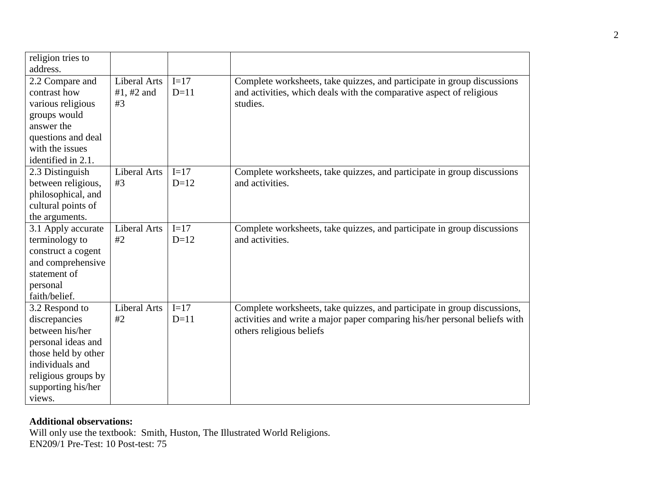| religion tries to                                                                                                                                                         |                                  |                  |                                                                                                                                                                                    |
|---------------------------------------------------------------------------------------------------------------------------------------------------------------------------|----------------------------------|------------------|------------------------------------------------------------------------------------------------------------------------------------------------------------------------------------|
| address.                                                                                                                                                                  |                                  |                  |                                                                                                                                                                                    |
| 2.2 Compare and<br>contrast how<br>various religious<br>groups would<br>answer the<br>questions and deal<br>with the issues<br>identified in 2.1.                         | Liberal Arts<br>#1, #2 and<br>#3 | $I=17$<br>$D=11$ | Complete worksheets, take quizzes, and participate in group discussions<br>and activities, which deals with the comparative aspect of religious<br>studies.                        |
| 2.3 Distinguish<br>between religious,<br>philosophical, and<br>cultural points of<br>the arguments.                                                                       | Liberal Arts<br>#3               | $I=17$<br>$D=12$ | Complete worksheets, take quizzes, and participate in group discussions<br>and activities.                                                                                         |
| 3.1 Apply accurate<br>terminology to<br>construct a cogent<br>and comprehensive<br>statement of<br>personal<br>faith/belief.                                              | Liberal Arts<br>#2               | $I=17$<br>$D=12$ | Complete worksheets, take quizzes, and participate in group discussions<br>and activities.                                                                                         |
| 3.2 Respond to<br>discrepancies<br>between his/her<br>personal ideas and<br>those held by other<br>individuals and<br>religious groups by<br>supporting his/her<br>views. | <b>Liberal Arts</b><br>#2        | $I=17$<br>$D=11$ | Complete worksheets, take quizzes, and participate in group discussions,<br>activities and write a major paper comparing his/her personal beliefs with<br>others religious beliefs |

# **Additional observations:**

Will only use the textbook: Smith, Huston, The Illustrated World Religions. EN209/1 Pre-Test: 10 Post-test: 75